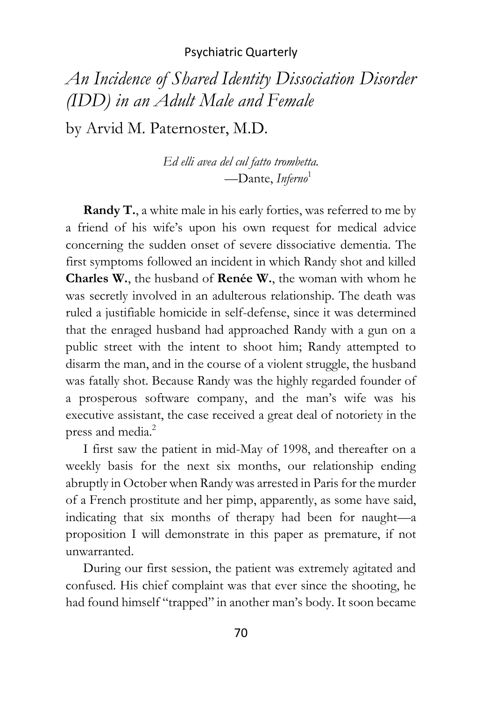# *An Incidence of Shared Identity Dissociation Disorder (IDD) in an Adult Male and Female*

by Arvid M. Paternoster, M.D.

*Ed elli avea del cul fatto trombetta.* —Dante, *Inferno*<sup>1</sup>

**Randy T.**, a white male in his early forties, was referred to me by a friend of his wife's upon his own request for medical advice concerning the sudden onset of severe dissociative dementia. The first symptoms followed an incident in which Randy shot and killed **Charles W.**, the husband of **Renée W.**, the woman with whom he was secretly involved in an adulterous relationship. The death was ruled a justifiable homicide in self-defense, since it was determined that the enraged husband had approached Randy with a gun on a public street with the intent to shoot him; Randy attempted to disarm the man, and in the course of a violent struggle, the husband was fatally shot. Because Randy was the highly regarded founder of a prosperous software company, and the man's wife was his executive assistant, the case received a great deal of notoriety in the press and media.<sup>2</sup>

I first saw the patient in mid-May of 1998, and thereafter on a weekly basis for the next six months, our relationship ending abruptly in October when Randy was arrested in Paris for the murder of a French prostitute and her pimp, apparently, as some have said, indicating that six months of therapy had been for naught—a proposition I will demonstrate in this paper as premature, if not unwarranted.

During our first session, the patient was extremely agitated and confused. His chief complaint was that ever since the shooting, he had found himself "trapped" in another man's body. It soon became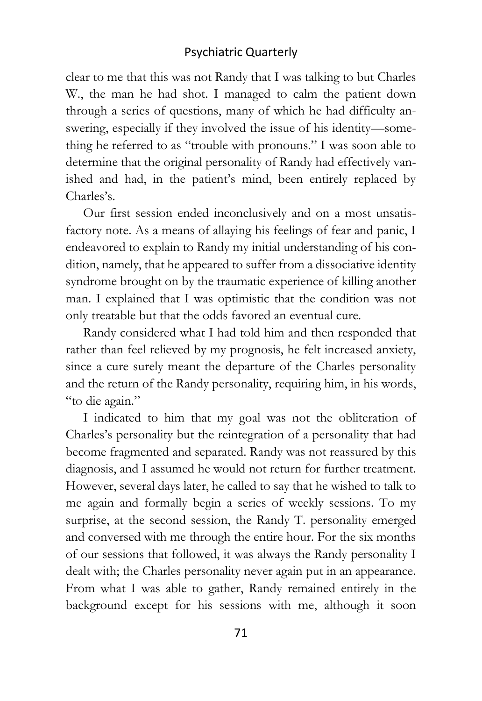clear to me that this was not Randy that I was talking to but Charles W., the man he had shot. I managed to calm the patient down through a series of questions, many of which he had difficulty answering, especially if they involved the issue of his identity—something he referred to as "trouble with pronouns." I was soon able to determine that the original personality of Randy had effectively vanished and had, in the patient's mind, been entirely replaced by Charles's.

Our first session ended inconclusively and on a most unsatisfactory note. As a means of allaying his feelings of fear and panic, I endeavored to explain to Randy my initial understanding of his condition, namely, that he appeared to suffer from a dissociative identity syndrome brought on by the traumatic experience of killing another man. I explained that I was optimistic that the condition was not only treatable but that the odds favored an eventual cure.

Randy considered what I had told him and then responded that rather than feel relieved by my prognosis, he felt increased anxiety, since a cure surely meant the departure of the Charles personality and the return of the Randy personality, requiring him, in his words, "to die again."

I indicated to him that my goal was not the obliteration of Charles's personality but the reintegration of a personality that had become fragmented and separated. Randy was not reassured by this diagnosis, and I assumed he would not return for further treatment. However, several days later, he called to say that he wished to talk to me again and formally begin a series of weekly sessions. To my surprise, at the second session, the Randy T. personality emerged and conversed with me through the entire hour. For the six months of our sessions that followed, it was always the Randy personality I dealt with; the Charles personality never again put in an appearance. From what I was able to gather, Randy remained entirely in the background except for his sessions with me, although it soon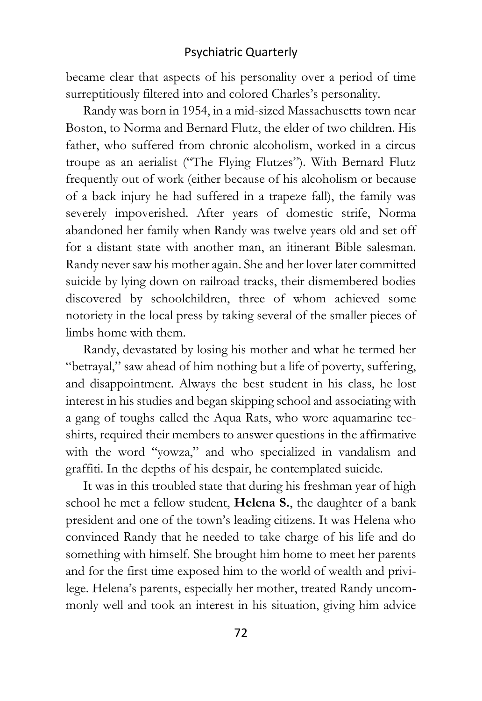became clear that aspects of his personality over a period of time surreptitiously filtered into and colored Charles's personality.

Randy was born in 1954, in a mid-sized Massachusetts town near Boston, to Norma and Bernard Flutz, the elder of two children. His father, who suffered from chronic alcoholism, worked in a circus troupe as an aerialist ("The Flying Flutzes"). With Bernard Flutz frequently out of work (either because of his alcoholism or because of a back injury he had suffered in a trapeze fall), the family was severely impoverished. After years of domestic strife, Norma abandoned her family when Randy was twelve years old and set off for a distant state with another man, an itinerant Bible salesman. Randy never saw his mother again. She and her lover later committed suicide by lying down on railroad tracks, their dismembered bodies discovered by schoolchildren, three of whom achieved some notoriety in the local press by taking several of the smaller pieces of limbs home with them.

Randy, devastated by losing his mother and what he termed her "betrayal," saw ahead of him nothing but a life of poverty, suffering, and disappointment. Always the best student in his class, he lost interest in his studies and began skipping school and associating with a gang of toughs called the Aqua Rats, who wore aquamarine teeshirts, required their members to answer questions in the affirmative with the word "yowza," and who specialized in vandalism and graffiti. In the depths of his despair, he contemplated suicide.

It was in this troubled state that during his freshman year of high school he met a fellow student, **Helena S.**, the daughter of a bank president and one of the town's leading citizens. It was Helena who convinced Randy that he needed to take charge of his life and do something with himself. She brought him home to meet her parents and for the first time exposed him to the world of wealth and privilege. Helena's parents, especially her mother, treated Randy uncommonly well and took an interest in his situation, giving him advice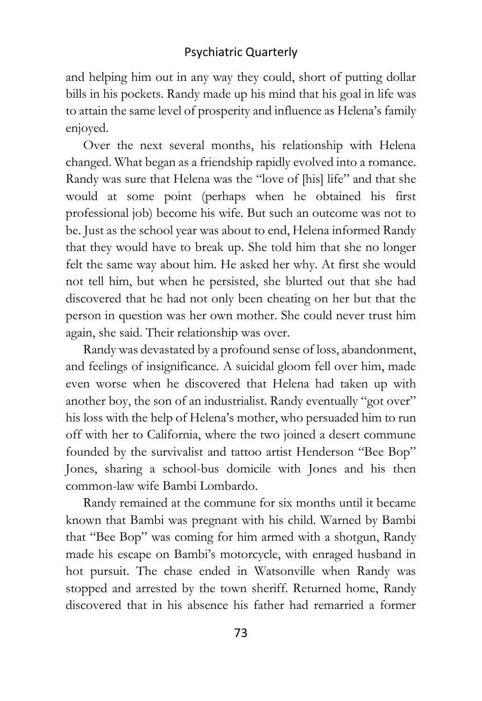and helping him out in any way they could, short of putting dollar bills in his pockets. Randy made up his mind that his goal in life was to attain the same level of prosperity and influence as Helena's family enjoyed.

Over the next several months, his relationship with Helena changed. What began as a friendship rapidly evolved into a romance. Randy was sure that Helena was the "love of [his] life" and that she would at some point (perhaps when he obtained his first professional job) become his wife. But such an outcome was not to be. Just as the school year was about to end, Helena informed Randy that they would have to break up. She told him that she no longer felt the same way about him. He asked her why. At first she would not tell him, but when he persisted, she blurted out that she had discovered that he had not only been cheating on her but that the person in question was her own mother. She could never trust him again, she said. Their relationship was over.

Randy was devastated by a profound sense of loss, abandonment, and feelings of insignificance. A suicidal gloom fell over him, made even worse when he discovered that Helena had taken up with another boy, the son of an industrialist. Randy eventually "got over" his loss with the help of Helena's mother, who persuaded him to run off with her to California, where the two joined a desert commune founded by the survivalist and tattoo artist Henderson "Bee Bop" Jones, sharing a school-bus domicile with Jones and his then common-law wife Bambi Lombardo.

Randy remained at the commune for six months until it became known that Bambi was pregnant with his child. Warned by Bambi that "Bee Bop" was coming for him armed with a shotgun, Randy made his escape on Bambi's motorcycle, with enraged husband in hot pursuit. The chase ended in Watsonville when Randy was stopped and arrested by the town sheriff. Returned home, Randy discovered that in his absence his father had remarried a former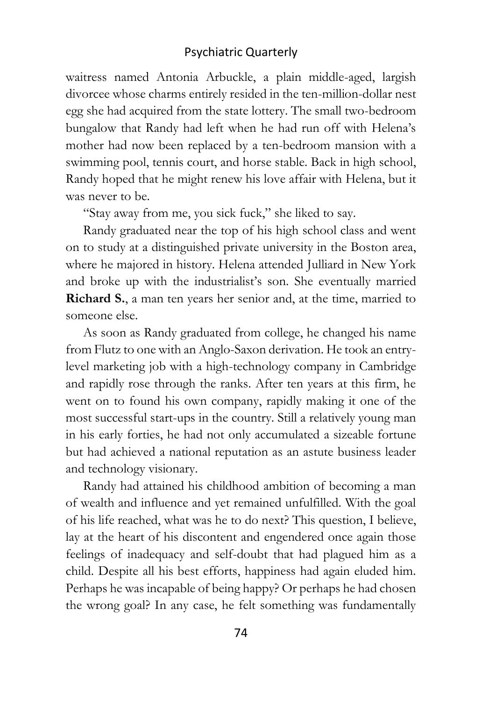waitress named Antonia Arbuckle, a plain middle-aged, largish divorcee whose charms entirely resided in the ten-million-dollar nest egg she had acquired from the state lottery. The small two-bedroom bungalow that Randy had left when he had run off with Helena's mother had now been replaced by a ten-bedroom mansion with a swimming pool, tennis court, and horse stable. Back in high school, Randy hoped that he might renew his love affair with Helena, but it was never to be.

"Stay away from me, you sick fuck," she liked to say.

Randy graduated near the top of his high school class and went on to study at a distinguished private university in the Boston area, where he majored in history. Helena attended Julliard in New York and broke up with the industrialist's son. She eventually married **Richard S.**, a man ten years her senior and, at the time, married to someone else.

As soon as Randy graduated from college, he changed his name from Flutz to one with an Anglo-Saxon derivation. He took an entrylevel marketing job with a high-technology company in Cambridge and rapidly rose through the ranks. After ten years at this firm, he went on to found his own company, rapidly making it one of the most successful start-ups in the country. Still a relatively young man in his early forties, he had not only accumulated a sizeable fortune but had achieved a national reputation as an astute business leader and technology visionary.

Randy had attained his childhood ambition of becoming a man of wealth and influence and yet remained unfulfilled. With the goal of his life reached, what was he to do next? This question, I believe, lay at the heart of his discontent and engendered once again those feelings of inadequacy and self-doubt that had plagued him as a child. Despite all his best efforts, happiness had again eluded him. Perhaps he was incapable of being happy? Or perhaps he had chosen the wrong goal? In any case, he felt something was fundamentally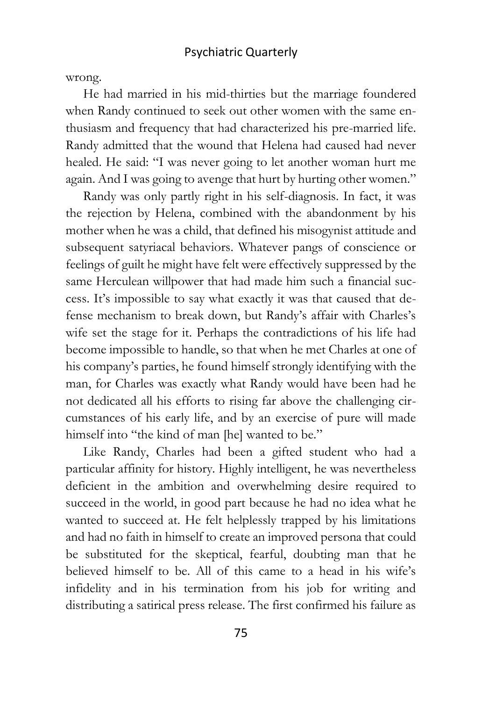wrong.

He had married in his mid-thirties but the marriage foundered when Randy continued to seek out other women with the same enthusiasm and frequency that had characterized his pre-married life. Randy admitted that the wound that Helena had caused had never healed. He said: "I was never going to let another woman hurt me again. And I was going to avenge that hurt by hurting other women."

Randy was only partly right in his self-diagnosis. In fact, it was the rejection by Helena, combined with the abandonment by his mother when he was a child, that defined his misogynist attitude and subsequent satyriacal behaviors. Whatever pangs of conscience or feelings of guilt he might have felt were effectively suppressed by the same Herculean willpower that had made him such a financial success. It's impossible to say what exactly it was that caused that defense mechanism to break down, but Randy's affair with Charles's wife set the stage for it. Perhaps the contradictions of his life had become impossible to handle, so that when he met Charles at one of his company's parties, he found himself strongly identifying with the man, for Charles was exactly what Randy would have been had he not dedicated all his efforts to rising far above the challenging circumstances of his early life, and by an exercise of pure will made himself into "the kind of man [he] wanted to be."

Like Randy, Charles had been a gifted student who had a particular affinity for history. Highly intelligent, he was nevertheless deficient in the ambition and overwhelming desire required to succeed in the world, in good part because he had no idea what he wanted to succeed at. He felt helplessly trapped by his limitations and had no faith in himself to create an improved persona that could be substituted for the skeptical, fearful, doubting man that he believed himself to be. All of this came to a head in his wife's infidelity and in his termination from his job for writing and distributing a satirical press release. The first confirmed his failure as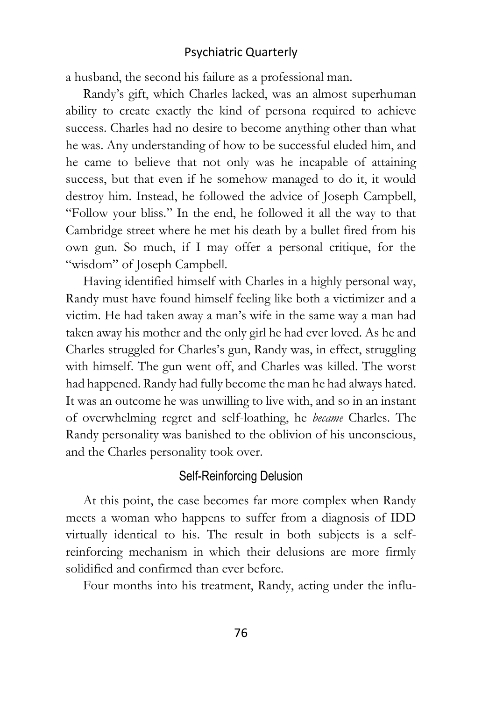a husband, the second his failure as a professional man.

Randy's gift, which Charles lacked, was an almost superhuman ability to create exactly the kind of persona required to achieve success. Charles had no desire to become anything other than what he was. Any understanding of how to be successful eluded him, and he came to believe that not only was he incapable of attaining success, but that even if he somehow managed to do it, it would destroy him. Instead, he followed the advice of Joseph Campbell, "Follow your bliss." In the end, he followed it all the way to that Cambridge street where he met his death by a bullet fired from his own gun. So much, if I may offer a personal critique, for the "wisdom" of Joseph Campbell.

Having identified himself with Charles in a highly personal way, Randy must have found himself feeling like both a victimizer and a victim. He had taken away a man's wife in the same way a man had taken away his mother and the only girl he had ever loved. As he and Charles struggled for Charles's gun, Randy was, in effect, struggling with himself. The gun went off, and Charles was killed. The worst had happened. Randy had fully become the man he had always hated. It was an outcome he was unwilling to live with, and so in an instant of overwhelming regret and self-loathing, he *became* Charles. The Randy personality was banished to the oblivion of his unconscious, and the Charles personality took over.

## Self-Reinforcing Delusion

At this point, the case becomes far more complex when Randy meets a woman who happens to suffer from a diagnosis of IDD virtually identical to his. The result in both subjects is a selfreinforcing mechanism in which their delusions are more firmly solidified and confirmed than ever before.

Four months into his treatment, Randy, acting under the influ-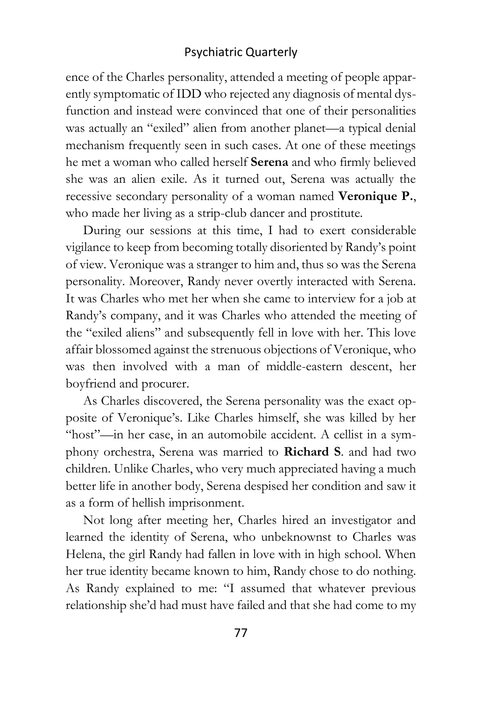ence of the Charles personality, attended a meeting of people apparently symptomatic of IDD who rejected any diagnosis of mental dysfunction and instead were convinced that one of their personalities was actually an "exiled" alien from another planet—a typical denial mechanism frequently seen in such cases. At one of these meetings he met a woman who called herself **Serena** and who firmly believed she was an alien exile. As it turned out, Serena was actually the recessive secondary personality of a woman named **Veronique P.**, who made her living as a strip-club dancer and prostitute.

During our sessions at this time, I had to exert considerable vigilance to keep from becoming totally disoriented by Randy's point of view. Veronique was a stranger to him and, thus so was the Serena personality. Moreover, Randy never overtly interacted with Serena. It was Charles who met her when she came to interview for a job at Randy's company, and it was Charles who attended the meeting of the "exiled aliens" and subsequently fell in love with her. This love affair blossomed against the strenuous objections of Veronique, who was then involved with a man of middle-eastern descent, her boyfriend and procurer.

As Charles discovered, the Serena personality was the exact opposite of Veronique's. Like Charles himself, she was killed by her "host"—in her case, in an automobile accident. A cellist in a symphony orchestra, Serena was married to **Richard S**. and had two children. Unlike Charles, who very much appreciated having a much better life in another body, Serena despised her condition and saw it as a form of hellish imprisonment.

Not long after meeting her, Charles hired an investigator and learned the identity of Serena, who unbeknownst to Charles was Helena, the girl Randy had fallen in love with in high school. When her true identity became known to him, Randy chose to do nothing. As Randy explained to me: "I assumed that whatever previous relationship she'd had must have failed and that she had come to my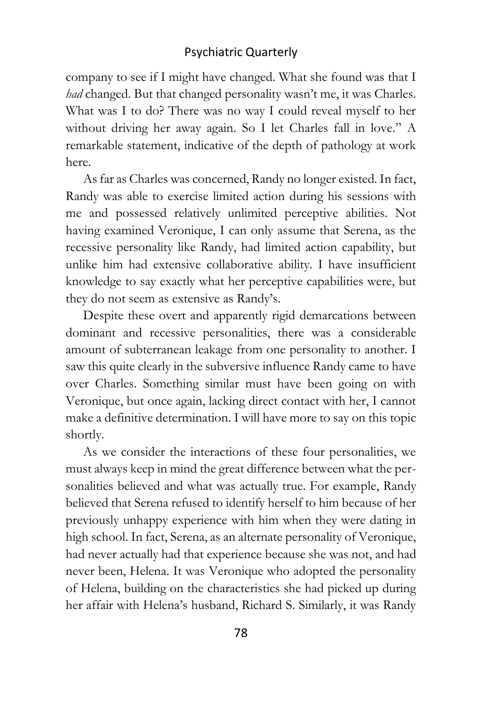company to see if I might have changed. What she found was that I *had* changed. But that changed personality wasn't me, it was Charles. What was I to do? There was no way I could reveal myself to her without driving her away again. So I let Charles fall in love." A remarkable statement, indicative of the depth of pathology at work here.

As far as Charles was concerned, Randy no longer existed. In fact, Randy was able to exercise limited action during his sessions with me and possessed relatively unlimited perceptive abilities. Not having examined Veronique, I can only assume that Serena, as the recessive personality like Randy, had limited action capability, but unlike him had extensive collaborative ability. I have insufficient knowledge to say exactly what her perceptive capabilities were, but they do not seem as extensive as Randy's.

Despite these overt and apparently rigid demarcations between dominant and recessive personalities, there was a considerable amount of subterranean leakage from one personality to another. I saw this quite clearly in the subversive influence Randy came to have over Charles. Something similar must have been going on with Veronique, but once again, lacking direct contact with her, I cannot make a definitive determination. I will have more to say on this topic shortly.

As we consider the interactions of these four personalities, we must always keep in mind the great difference between what the personalities believed and what was actually true. For example, Randy believed that Serena refused to identify herself to him because of her previously unhappy experience with him when they were dating in high school. In fact, Serena, as an alternate personality of Veronique, had never actually had that experience because she was not, and had never been, Helena. It was Veronique who adopted the personality of Helena, building on the characteristics she had picked up during her affair with Helena's husband, Richard S. Similarly, it was Randy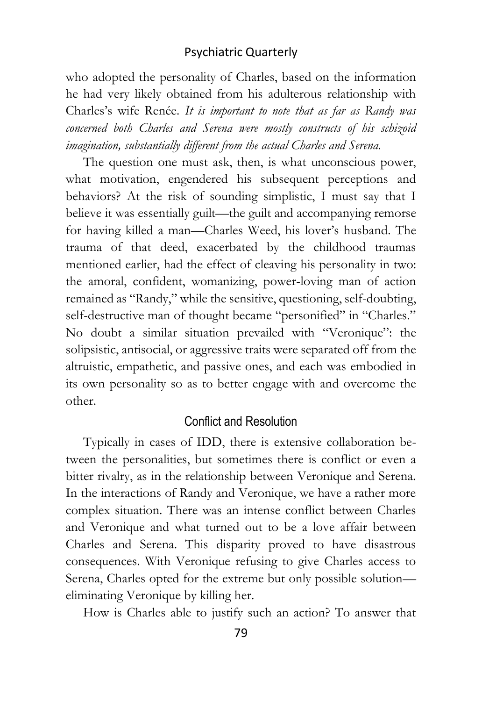who adopted the personality of Charles, based on the information he had very likely obtained from his adulterous relationship with Charles's wife Renée. *It is important to note that as far as Randy was concerned both Charles and Serena were mostly constructs of his schizoid imagination, substantially different from the actual Charles and Serena.*

The question one must ask, then, is what unconscious power, what motivation, engendered his subsequent perceptions and behaviors? At the risk of sounding simplistic, I must say that I believe it was essentially guilt—the guilt and accompanying remorse for having killed a man—Charles Weed, his lover's husband. The trauma of that deed, exacerbated by the childhood traumas mentioned earlier, had the effect of cleaving his personality in two: the amoral, confident, womanizing, power-loving man of action remained as "Randy," while the sensitive, questioning, self-doubting, self-destructive man of thought became "personified" in "Charles." No doubt a similar situation prevailed with "Veronique": the solipsistic, antisocial, or aggressive traits were separated off from the altruistic, empathetic, and passive ones, and each was embodied in its own personality so as to better engage with and overcome the other.

#### Conflict and Resolution

Typically in cases of IDD, there is extensive collaboration between the personalities, but sometimes there is conflict or even a bitter rivalry, as in the relationship between Veronique and Serena. In the interactions of Randy and Veronique, we have a rather more complex situation. There was an intense conflict between Charles and Veronique and what turned out to be a love affair between Charles and Serena. This disparity proved to have disastrous consequences. With Veronique refusing to give Charles access to Serena, Charles opted for the extreme but only possible solution eliminating Veronique by killing her.

How is Charles able to justify such an action? To answer that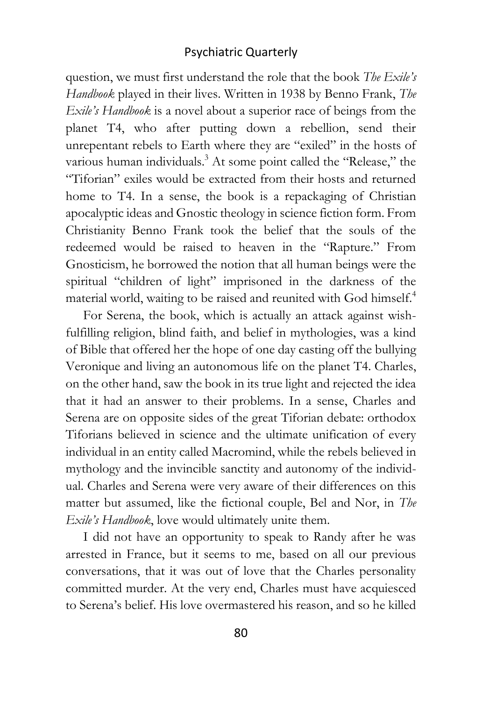question, we must first understand the role that the book *The Exile's Handbook* played in their lives. Written in 1938 by Benno Frank, *The Exile's Handbook* is a novel about a superior race of beings from the planet T4, who after putting down a rebellion, send their unrepentant rebels to Earth where they are "exiled" in the hosts of various human individuals.<sup>3</sup> At some point called the "Release," the "Tiforian" exiles would be extracted from their hosts and returned home to T4. In a sense, the book is a repackaging of Christian apocalyptic ideas and Gnostic theology in science fiction form. From Christianity Benno Frank took the belief that the souls of the redeemed would be raised to heaven in the "Rapture." From Gnosticism, he borrowed the notion that all human beings were the spiritual "children of light" imprisoned in the darkness of the material world, waiting to be raised and reunited with God himself.<sup>4</sup>

For Serena, the book, which is actually an attack against wishfulfilling religion, blind faith, and belief in mythologies, was a kind of Bible that offered her the hope of one day casting off the bullying Veronique and living an autonomous life on the planet T4. Charles, on the other hand, saw the book in its true light and rejected the idea that it had an answer to their problems. In a sense, Charles and Serena are on opposite sides of the great Tiforian debate: orthodox Tiforians believed in science and the ultimate unification of every individual in an entity called Macromind, while the rebels believed in mythology and the invincible sanctity and autonomy of the individual. Charles and Serena were very aware of their differences on this matter but assumed, like the fictional couple, Bel and Nor, in *The Exile's Handbook*, love would ultimately unite them.

I did not have an opportunity to speak to Randy after he was arrested in France, but it seems to me, based on all our previous conversations, that it was out of love that the Charles personality committed murder. At the very end, Charles must have acquiesced to Serena's belief. His love overmastered his reason, and so he killed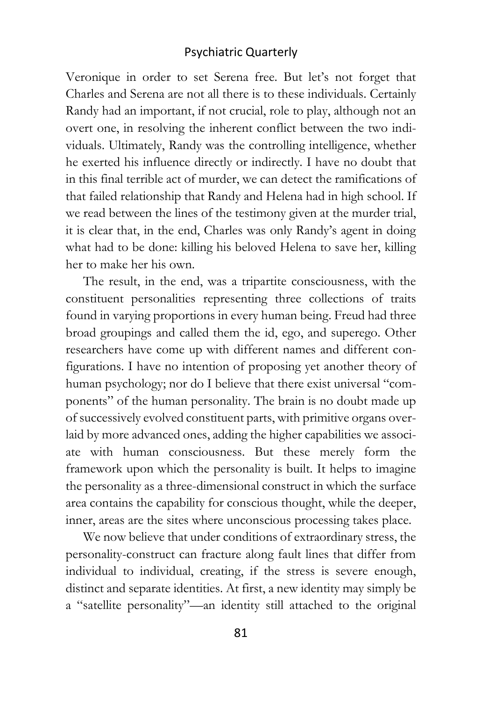Veronique in order to set Serena free. But let's not forget that Charles and Serena are not all there is to these individuals. Certainly Randy had an important, if not crucial, role to play, although not an overt one, in resolving the inherent conflict between the two individuals. Ultimately, Randy was the controlling intelligence, whether he exerted his influence directly or indirectly. I have no doubt that in this final terrible act of murder, we can detect the ramifications of that failed relationship that Randy and Helena had in high school. If we read between the lines of the testimony given at the murder trial, it is clear that, in the end, Charles was only Randy's agent in doing what had to be done: killing his beloved Helena to save her, killing her to make her his own.

The result, in the end, was a tripartite consciousness, with the constituent personalities representing three collections of traits found in varying proportions in every human being. Freud had three broad groupings and called them the id, ego, and superego. Other researchers have come up with different names and different configurations. I have no intention of proposing yet another theory of human psychology; nor do I believe that there exist universal "components" of the human personality. The brain is no doubt made up of successively evolved constituent parts, with primitive organs overlaid by more advanced ones, adding the higher capabilities we associate with human consciousness. But these merely form the framework upon which the personality is built. It helps to imagine the personality as a three-dimensional construct in which the surface area contains the capability for conscious thought, while the deeper, inner, areas are the sites where unconscious processing takes place.

We now believe that under conditions of extraordinary stress, the personality-construct can fracture along fault lines that differ from individual to individual, creating, if the stress is severe enough, distinct and separate identities. At first, a new identity may simply be a "satellite personality"—an identity still attached to the original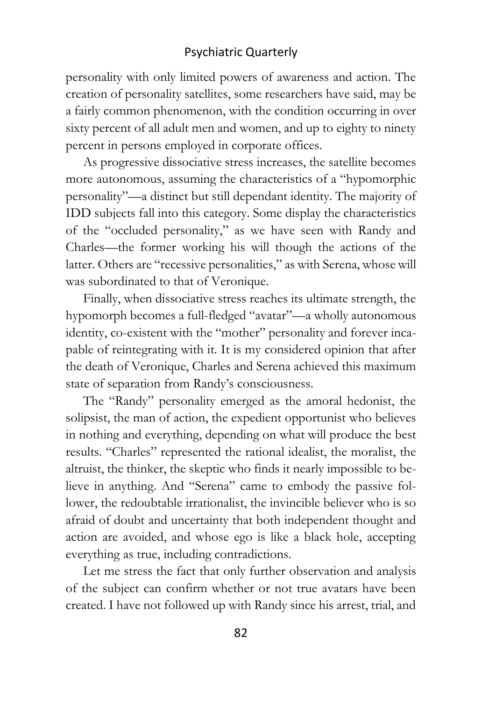personality with only limited powers of awareness and action. The creation of personality satellites, some researchers have said, may be a fairly common phenomenon, with the condition occurring in over sixty percent of all adult men and women, and up to eighty to ninety percent in persons employed in corporate offices.

As progressive dissociative stress increases, the satellite becomes more autonomous, assuming the characteristics of a "hypomorphic personality"—a distinct but still dependant identity. The majority of IDD subjects fall into this category. Some display the characteristics of the "occluded personality," as we have seen with Randy and Charles—the former working his will though the actions of the latter. Others are "recessive personalities," as with Serena, whose will was subordinated to that of Veronique.

Finally, when dissociative stress reaches its ultimate strength, the hypomorph becomes a full-fledged "avatar"—a wholly autonomous identity, co-existent with the "mother" personality and forever incapable of reintegrating with it. It is my considered opinion that after the death of Veronique, Charles and Serena achieved this maximum state of separation from Randy's consciousness.

The "Randy" personality emerged as the amoral hedonist, the solipsist, the man of action, the expedient opportunist who believes in nothing and everything, depending on what will produce the best results. "Charles" represented the rational idealist, the moralist, the altruist, the thinker, the skeptic who finds it nearly impossible to believe in anything. And "Serena" came to embody the passive follower, the redoubtable irrationalist, the invincible believer who is so afraid of doubt and uncertainty that both independent thought and action are avoided, and whose ego is like a black hole, accepting everything as true, including contradictions.

Let me stress the fact that only further observation and analysis of the subject can confirm whether or not true avatars have been created. I have not followed up with Randy since his arrest, trial, and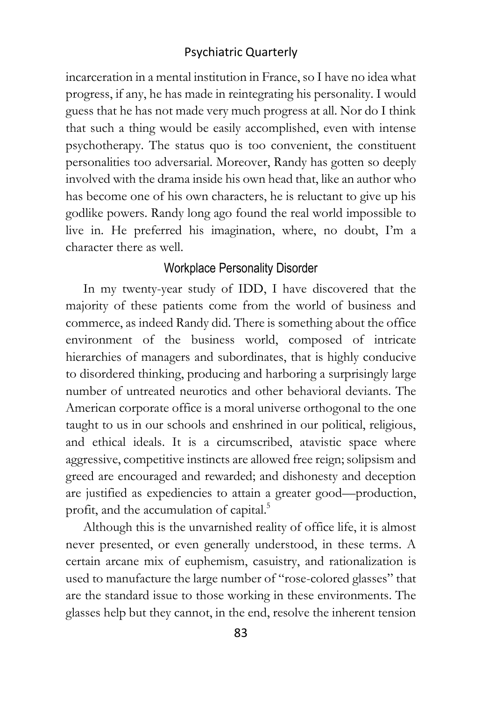incarceration in a mental institution in France, so I have no idea what progress, if any, he has made in reintegrating his personality. I would guess that he has not made very much progress at all. Nor do I think that such a thing would be easily accomplished, even with intense psychotherapy. The status quo is too convenient, the constituent personalities too adversarial. Moreover, Randy has gotten so deeply involved with the drama inside his own head that, like an author who has become one of his own characters, he is reluctant to give up his godlike powers. Randy long ago found the real world impossible to live in. He preferred his imagination, where, no doubt, I'm a character there as well.

## Workplace Personality Disorder

In my twenty-year study of IDD, I have discovered that the majority of these patients come from the world of business and commerce, as indeed Randy did. There is something about the office environment of the business world, composed of intricate hierarchies of managers and subordinates, that is highly conducive to disordered thinking, producing and harboring a surprisingly large number of untreated neurotics and other behavioral deviants. The American corporate office is a moral universe orthogonal to the one taught to us in our schools and enshrined in our political, religious, and ethical ideals. It is a circumscribed, atavistic space where aggressive, competitive instincts are allowed free reign; solipsism and greed are encouraged and rewarded; and dishonesty and deception are justified as expediencies to attain a greater good—production, profit, and the accumulation of capital.<sup>5</sup>

Although this is the unvarnished reality of office life, it is almost never presented, or even generally understood, in these terms. A certain arcane mix of euphemism, casuistry, and rationalization is used to manufacture the large number of "rose-colored glasses" that are the standard issue to those working in these environments. The glasses help but they cannot, in the end, resolve the inherent tension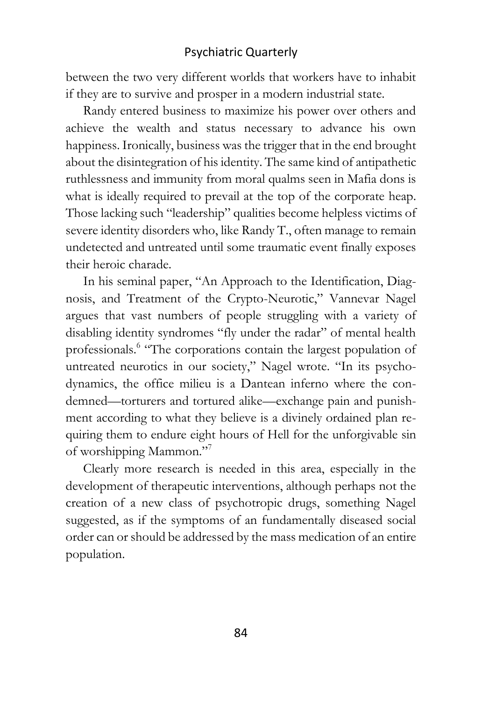between the two very different worlds that workers have to inhabit if they are to survive and prosper in a modern industrial state.

Randy entered business to maximize his power over others and achieve the wealth and status necessary to advance his own happiness. Ironically, business was the trigger that in the end brought about the disintegration of his identity. The same kind of antipathetic ruthlessness and immunity from moral qualms seen in Mafia dons is what is ideally required to prevail at the top of the corporate heap. Those lacking such "leadership" qualities become helpless victims of severe identity disorders who, like Randy T., often manage to remain undetected and untreated until some traumatic event finally exposes their heroic charade.

In his seminal paper, "An Approach to the Identification, Diagnosis, and Treatment of the Crypto-Neurotic," Vannevar Nagel argues that vast numbers of people struggling with a variety of disabling identity syndromes "fly under the radar" of mental health professionals.<sup>6</sup> "The corporations contain the largest population of untreated neurotics in our society," Nagel wrote. "In its psychodynamics, the office milieu is a Dantean inferno where the condemned—torturers and tortured alike—exchange pain and punishment according to what they believe is a divinely ordained plan requiring them to endure eight hours of Hell for the unforgivable sin of worshipping Mammon."<sup>7</sup>

Clearly more research is needed in this area, especially in the development of therapeutic interventions, although perhaps not the creation of a new class of psychotropic drugs, something Nagel suggested, as if the symptoms of an fundamentally diseased social order can or should be addressed by the mass medication of an entire population.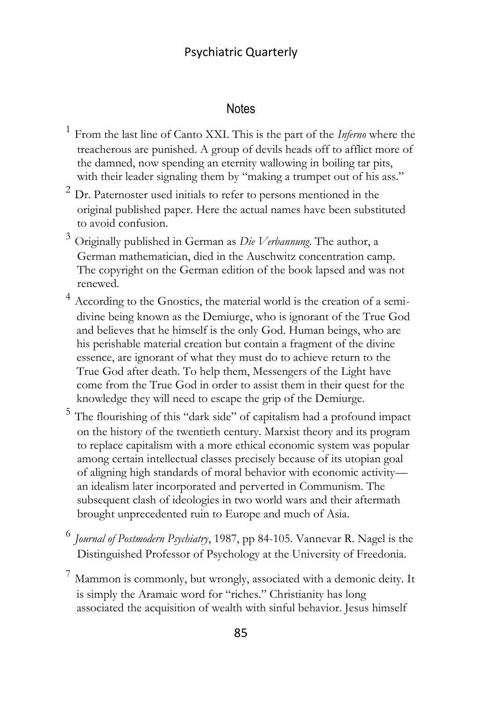#### **Notes**

- 1 From the last line of Canto XXI. This is the part of the *Inferno* where the treacherous are punished. A group of devils heads off to afflict more of the damned, now spending an eternity wallowing in boiling tar pits, with their leader signaling them by "making a trumpet out of his ass."
- $2$  Dr. Paternoster used initials to refer to persons mentioned in the original published paper. Here the actual names have been substituted to avoid confusion.
- <sup>3</sup> Originally published in German as *Die Verbannung*. The author, a German mathematician, died in the Auschwitz concentration camp. The copyright on the German edition of the book lapsed and was not renewed.
- <sup>4</sup> According to the Gnostics, the material world is the creation of a semidivine being known as the Demiurge, who is ignorant of the True God and believes that he himself is the only God. Human beings, who are his perishable material creation but contain a fragment of the divine essence, are ignorant of what they must do to achieve return to the True God after death. To help them, Messengers of the Light have come from the True God in order to assist them in their quest for the knowledge they will need to escape the grip of the Demiurge.
- <sup>5</sup> The flourishing of this "dark side" of capitalism had a profound impact on the history of the twentieth century. Marxist theory and its program to replace capitalism with a more ethical economic system was popular among certain intellectual classes precisely because of its utopian goal of aligning high standards of moral behavior with economic activity an idealism later incorporated and perverted in Communism. The subsequent clash of ideologies in two world wars and their aftermath brought unprecedented ruin to Europe and much of Asia.
- 6 *Journal of Postmodern Psychiatry*, 1987, pp 84-105. Vannevar R. Nagel is the Distinguished Professor of Psychology at the University of Freedonia.
- <sup>7</sup> Mammon is commonly, but wrongly, associated with a demonic deity. It is simply the Aramaic word for "riches." Christianity has long associated the acquisition of wealth with sinful behavior. Jesus himself